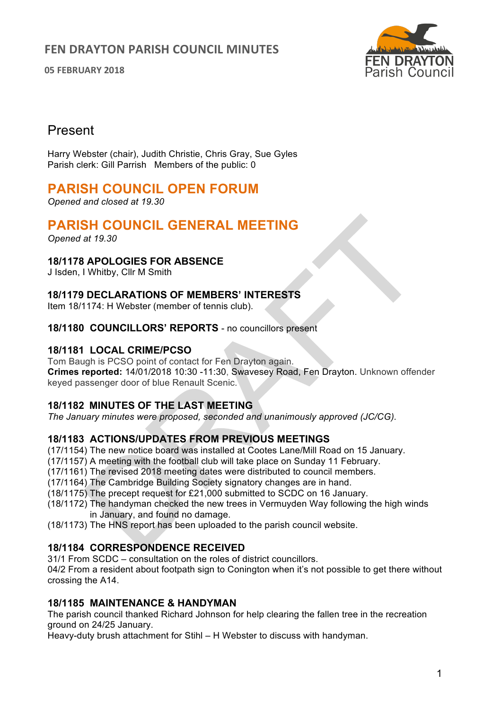**05 FEBRUARY 2018**



# Present

Harry Webster (chair), Judith Christie, Chris Gray, Sue Gyles Parish clerk: Gill Parrish Members of the public: 0

# **PARISH COUNCIL OPEN FORUM**

*Opened and closed at 19.30*

# **PARISH COUNCIL GENERAL MEETING**

*Opened at 19.30*

## **18/1178 APOLOGIES FOR ABSENCE**

J Isden, I Whitby, Cllr M Smith

## **18/1179 DECLARATIONS OF MEMBERS' INTERESTS**

Item 18/1174: H Webster (member of tennis club).

#### **18/1180 COUNCILLORS' REPORTS** - no councillors present

## **18/1181 LOCAL CRIME/PCSO**

Tom Baugh is PCSO point of contact for Fen Drayton again. **Crimes reported:** 14/01/2018 10:30 -11:30, Swavesey Road, Fen Drayton. Unknown offender keyed passenger door of blue Renault Scenic.

### **18/1182 MINUTES OF THE LAST MEETING**

*The January minutes were proposed, seconded and unanimously approved (JC/CG).* 

## **18/1183 ACTIONS/UPDATES FROM PREVIOUS MEETINGS**

(17/1154) The new notice board was installed at Cootes Lane/Mill Road on 15 January.

- (17/1157) A meeting with the football club will take place on Sunday 11 February.
- (17/1161) The revised 2018 meeting dates were distributed to council members.
- (17/1164) The Cambridge Building Society signatory changes are in hand.
- (18/1175) The precept request for £21,000 submitted to SCDC on 16 January.
- (18/1172) The handyman checked the new trees in Vermuyden Way following the high winds in January, and found no damage.
- (18/1173) The HNS report has been uploaded to the parish council website.

### **18/1184 CORRESPONDENCE RECEIVED**

31/1 From SCDC – consultation on the roles of district councillors.

04/2 From a resident about footpath sign to Conington when it's not possible to get there without crossing the A14.

### **18/1185 MAINTENANCE & HANDYMAN**

The parish council thanked Richard Johnson for help clearing the fallen tree in the recreation ground on 24/25 January.

Heavy-duty brush attachment for Stihl – H Webster to discuss with handyman.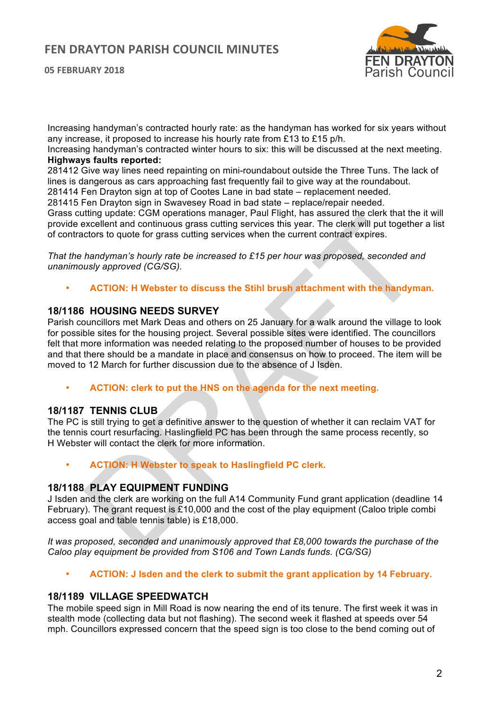**05 FEBRUARY 2018**



Increasing handyman's contracted hourly rate: as the handyman has worked for six years without any increase, it proposed to increase his hourly rate from £13 to £15 p/h.

Increasing handyman's contracted winter hours to six: this will be discussed at the next meeting. **Highways faults reported:**

281412 Give way lines need repainting on mini-roundabout outside the Three Tuns. The lack of lines is dangerous as cars approaching fast frequently fail to give way at the roundabout.

281414 Fen Drayton sign at top of Cootes Lane in bad state – replacement needed.

281415 Fen Drayton sign in Swavesey Road in bad state – replace/repair needed.

Grass cutting update: CGM operations manager, Paul Flight, has assured the clerk that the it will provide excellent and continuous grass cutting services this year. The clerk will put together a list of contractors to quote for grass cutting services when the current contract expires.

*That the handyman's hourly rate be increased to £15 per hour was proposed, seconded and unanimously approved (CG/SG).*

• **ACTION: H Webster to discuss the Stihl brush attachment with the handyman.**

## **18/1186 HOUSING NEEDS SURVEY**

Parish councillors met Mark Deas and others on 25 January for a walk around the village to look for possible sites for the housing project. Several possible sites were identified. The councillors felt that more information was needed relating to the proposed number of houses to be provided and that there should be a mandate in place and consensus on how to proceed. The item will be moved to 12 March for further discussion due to the absence of J Isden.

• **ACTION: clerk to put the HNS on the agenda for the next meeting.**

#### **18/1187 TENNIS CLUB**

The PC is still trying to get a definitive answer to the question of whether it can reclaim VAT for the tennis court resurfacing. Haslingfield PC has been through the same process recently, so H Webster will contact the clerk for more information.

• **ACTION: H Webster to speak to Haslingfield PC clerk.**

#### **18/1188 PLAY EQUIPMENT FUNDING**

J Isden and the clerk are working on the full A14 Community Fund grant application (deadline 14 February). The grant request is £10,000 and the cost of the play equipment (Caloo triple combi access goal and table tennis table) is £18,000.

*It was proposed, seconded and unanimously approved that £8,000 towards the purchase of the Caloo play equipment be provided from S106 and Town Lands funds. (CG/SG)* 

• **ACTION: J Isden and the clerk to submit the grant application by 14 February.**

#### **18/1189 VILLAGE SPEEDWATCH**

The mobile speed sign in Mill Road is now nearing the end of its tenure. The first week it was in stealth mode (collecting data but not flashing). The second week it flashed at speeds over 54 mph. Councillors expressed concern that the speed sign is too close to the bend coming out of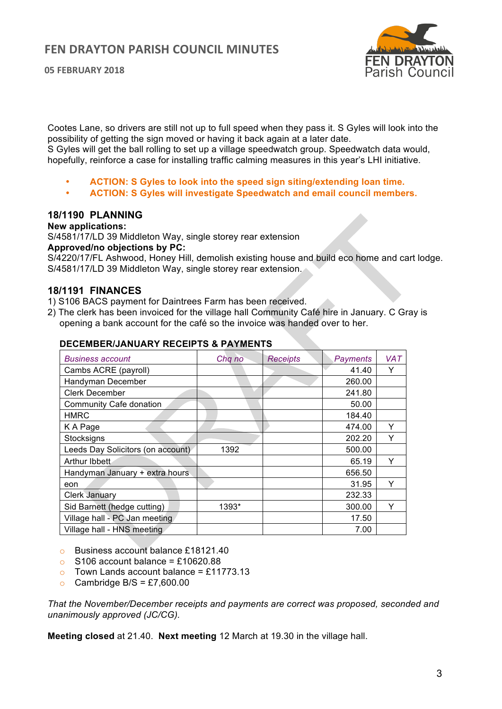**05 FEBRUARY 2018**



Cootes Lane, so drivers are still not up to full speed when they pass it. S Gyles will look into the possibility of getting the sign moved or having it back again at a later date.

S Gyles will get the ball rolling to set up a village speedwatch group. Speedwatch data would, hopefully, reinforce a case for installing traffic calming measures in this year's LHI initiative.

- **ACTION: S Gyles to look into the speed sign siting/extending loan time.**
- **ACTION: S Gyles will investigate Speedwatch and email council members.**

#### **18/1190 PLANNING**

#### **New applications:**

S/4581/17/LD 39 Middleton Way, single storey rear extension

**Approved/no objections by PC:**

S/4220/17/FL Ashwood, Honey Hill, demolish existing house and build eco home and cart lodge. S/4581/17/LD 39 Middleton Way, single storey rear extension.

#### **18/1191 FINANCES**

- 1) S106 BACS payment for Daintrees Farm has been received.
- 2) The clerk has been invoiced for the village hall Community Café hire in January. C Gray is opening a bank account for the café so the invoice was handed over to her.

| <b>Business account</b>           | Chq no | <b>Receipts</b> | Payments | <b>VAT</b> |
|-----------------------------------|--------|-----------------|----------|------------|
| Cambs ACRE (payroll)              |        |                 | 41.40    | Y          |
| Handyman December                 |        |                 | 260.00   |            |
| Clerk December                    |        |                 | 241.80   |            |
| Community Cafe donation           |        |                 | 50.00    |            |
| HMRC                              |        |                 | 184.40   |            |
| K A Page                          |        |                 | 474.00   | Y          |
| Stocksigns                        |        |                 | 202.20   | Y          |
| Leeds Day Solicitors (on account) | 1392   |                 | 500.00   |            |
| Arthur Ibbett                     |        |                 | 65.19    | Υ          |
| Handyman January + extra hours    |        |                 | 656.50   |            |
| eon                               |        |                 | 31.95    | Y          |
| <b>Clerk January</b>              |        |                 | 232.33   |            |
| Sid Barnett (hedge cutting)       | 1393*  |                 | 300.00   | Υ          |
| Village hall - PC Jan meeting     |        |                 | 17.50    |            |
| Village hall - HNS meeting        |        |                 | 7.00     |            |

#### **DECEMBER/JANUARY RECEIPTS & PAYMENTS**

- o Business account balance £18121.40
- $\circ$  S106 account balance = £10620.88
- $\circ$  Town Lands account balance = £11773.13
- Cambridge B/S =  $£7,600.00$

*That the November/December receipts and payments are correct was proposed, seconded and unanimously approved (JC/CG).*

**Meeting closed** at 21.40. **Next meeting** 12 March at 19.30 in the village hall.